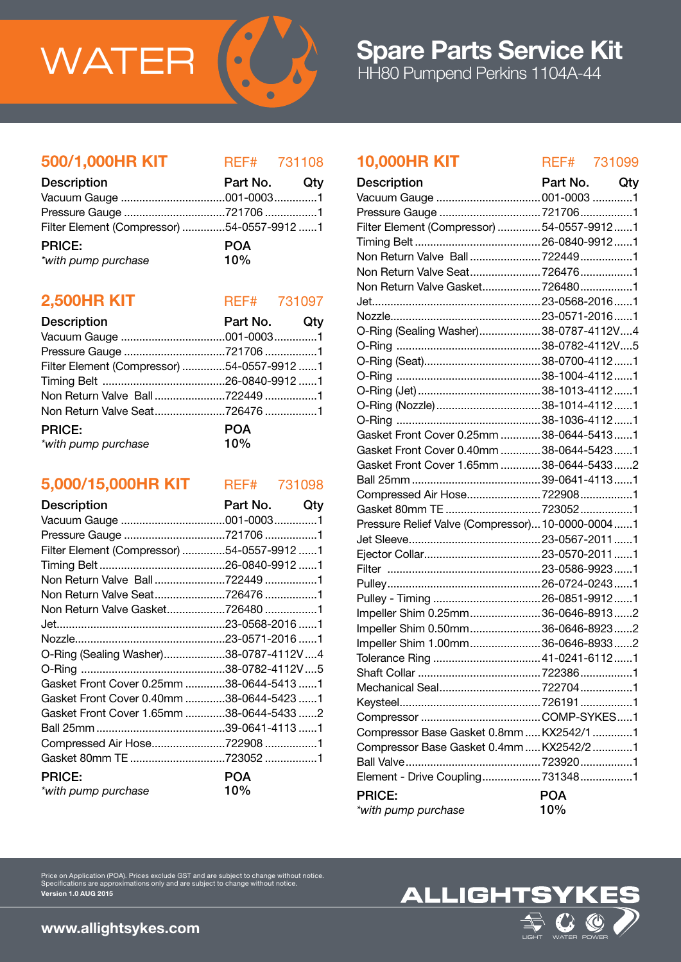

# 500/1,000HR KIT REF# 731108

| <b>Description</b>                         | Part No. Qty |  |
|--------------------------------------------|--------------|--|
|                                            |              |  |
|                                            |              |  |
| Filter Element (Compressor) 54-0557-9912 1 |              |  |
| <b>PRICE:</b>                              | <b>POA</b>   |  |
| *with pump purchase                        | 10%          |  |

# **2,500HR KIT** REF# 731097

| <b>Description</b>                         | Part No. Qty      |  |
|--------------------------------------------|-------------------|--|
|                                            |                   |  |
|                                            |                   |  |
| Filter Element (Compressor) 54-0557-9912 1 |                   |  |
|                                            |                   |  |
|                                            |                   |  |
|                                            |                   |  |
| <b>PRICE:</b><br>*with pump purchase       | <b>POA</b><br>10% |  |

# 5,000/15,000HR KIT REF# 731098

| Description                                | Part No.   | Qtv |
|--------------------------------------------|------------|-----|
|                                            |            |     |
| Pressure Gauge 721706 1                    |            |     |
| Filter Element (Compressor) 54-0557-9912 1 |            |     |
|                                            |            |     |
|                                            |            |     |
|                                            |            |     |
| Non Return Valve Gasket7264801             |            |     |
|                                            |            |     |
|                                            |            |     |
| O-Ring (Sealing Washer)38-0787-4112V4      |            |     |
|                                            |            |     |
| Gasket Front Cover 0.25mm 38-0644-5413 1   |            |     |
| Gasket Front Cover 0.40mm 38-0644-5423 1   |            |     |
| Gasket Front Cover 1.65mm 38-0644-5433 2   |            |     |
|                                            |            |     |
| Compressed Air Hose7229081                 |            |     |
| Gasket 80mm TE 723052 1                    |            |     |
| <b>PRICE:</b>                              | <b>POA</b> |     |
| *with pump purchase                        | 10%        |     |

# 10,000HR KIT REF# 731099

| Part No.  Qty  |     | <b>Description</b>                               | Part No. Qty |  |
|----------------|-----|--------------------------------------------------|--------------|--|
| 001-00031      |     |                                                  |              |  |
| 7217061        |     | Pressure Gauge 7217061                           |              |  |
| 54-0557-9912 1 |     | Filter Element (Compressor)  54-0557-9912  1     |              |  |
| <b>POA</b>     |     |                                                  |              |  |
| 10%            |     |                                                  |              |  |
|                |     |                                                  |              |  |
|                |     | Non Return Valve Gasket 7264801                  |              |  |
| REF# 731097    |     |                                                  |              |  |
| Part No.       | Qty |                                                  |              |  |
| 001-00031      |     | O-Ring (Sealing Washer)38-0787-4112V4            |              |  |
| 7217061        |     |                                                  |              |  |
| 54-0557-9912 1 |     |                                                  |              |  |
| 26-0840-9912 1 |     |                                                  |              |  |
| 7224491        |     |                                                  |              |  |
| 726476 1       |     | O-Ring (Nozzle) 38-1014-4112 1                   |              |  |
|                |     |                                                  |              |  |
| <b>POA</b>     |     | Gasket Front Cover 0.25mm  38-0644-54131         |              |  |
| 10%            |     | Gasket Front Cover 0.40mm  38-0644-5423  1       |              |  |
|                |     | Gasket Front Cover 1.65mm  38-0644-5433  2       |              |  |
| REF# 731098    |     |                                                  |              |  |
|                |     | Compressed Air Hose7229081                       |              |  |
| Part No.       | Qty |                                                  |              |  |
| 001-00031      |     | Pressure Relief Valve (Compressor) 10-0000-00041 |              |  |
| 7217061        |     |                                                  |              |  |
| 54-0557-9912 1 |     |                                                  |              |  |
| 26-0840-9912 1 |     |                                                  |              |  |
| 722449 1       |     |                                                  |              |  |
| 726476 1       |     |                                                  |              |  |
| 7264801        |     | Impeller Shim 0.25mm36-0646-89132                |              |  |
| 23-0568-2016 1 |     | Impeller Shim 0.50mm36-0646-89232                |              |  |
| 23-0571-2016 1 |     | Impeller Shim 1.00mm36-0646-89332                |              |  |
| 38-0787-4112V4 |     |                                                  |              |  |
| 38-0782-4112V5 |     |                                                  |              |  |
| 38-0644-5413 1 |     |                                                  |              |  |
| 38-0644-5423 1 |     |                                                  |              |  |
| 38-0644-5433 2 |     |                                                  |              |  |
| 39-0641-4113 1 |     | Compressor Base Gasket 0.8mm  KX2542/1 1         |              |  |
| 722908 1       |     | Compressor Base Gasket 0.4mm  KX2542/2 1         |              |  |
| 723052 1       |     |                                                  |              |  |
| <b>POA</b>     |     | Element - Drive Coupling 7313481                 |              |  |
| 10%            |     | <b>PRICE:</b>                                    | <b>POA</b>   |  |
|                |     | *with pump purchase                              | 10%          |  |
|                |     |                                                  |              |  |